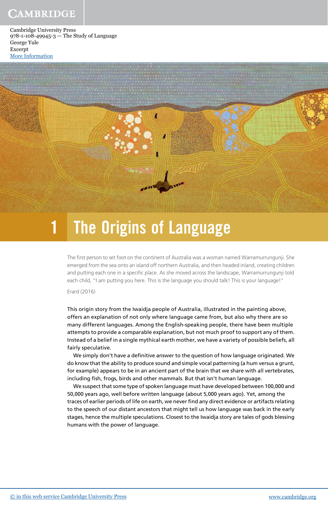Cambridge University Press 978-1-108-49945-3 — The Study of Language George Yule Excerpt [More Information](www.cambridge.org/9781108499453)



# **The Origins of Language**

The first person to set foot on the continent of Australia was a woman named Warramurrungunji. She emerged from the sea onto an island off northern Australia, and then headed inland, creating children and putting each one in a specific place. As she moved across the landscape, Warramurrungunji told each child, "I am putting you here. This is the language you should talk! This is your language!"

Erard (2016)

This origin story from the Iwaidja people of Australia, illustrated in the painting above, offers an explanation of not only where language came from, but also why there are so many different languages. Among the English-speaking people, there have been multiple attempts to provide a comparable explanation, but not much proof to support any of them. Instead of a belief in a single mythical earth mother, we have a variety of possible beliefs, all fairly speculative.

We simply don't have a definitive answer to the question of how language originated. We do know that the ability to produce sound and simple vocal patterning (a hum versus a grunt, for example) appears to be in an ancient part of the brain that we share with all vertebrates, including fish, frogs, birds and other mammals. But that isn't human language.

We suspect that some type of spoken language must have developed between 100,000 and 50,000 years ago, well before written language (about 5,000 years ago). Yet, among the traces of earlier periods of life on earth, we never find any direct evidence or artifacts relating to the speech of our distant ancestors that might tell us how language was back in the early stages, hence the multiple speculations. Closest to the Iwaidja story are tales of gods blessing humans with the power of language.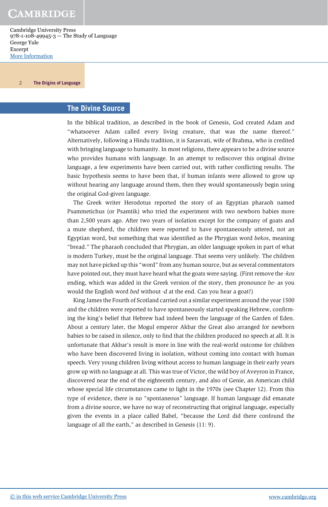Cambridge University Press 978-1-108-49945-3 — The Study of Language George Yule Excerpt [More Information](www.cambridge.org/9781108499453)

2 The Origins of Language

# The Divine Source

In the biblical tradition, as described in the book of Genesis, God created Adam and "whatsoever Adam called every living creature, that was the name thereof." Alternatively, following a Hindu tradition, it is Sarasvati, wife of Brahma, who is credited with bringing language to humanity. In most religions, there appears to be a divine source who provides humans with language. In an attempt to rediscover this original divine language, a few experiments have been carried out, with rather conflicting results. The basic hypothesis seems to have been that, if human infants were allowed to grow up without hearing any language around them, then they would spontaneously begin using the original God-given language.

The Greek writer Herodotus reported the story of an Egyptian pharaoh named Psammetichus (or Psamtik) who tried the experiment with two newborn babies more than 2,500 years ago. After two years of isolation except for the company of goats and a mute shepherd, the children were reported to have spontaneously uttered, not an Egyptian word, but something that was identified as the Phrygian word bekos, meaning "bread." The pharaoh concluded that Phrygian, an older language spoken in part of what is modern Turkey, must be the original language. That seems very unlikely. The children may not have picked up this "word" from any human source, but as several commentators have pointed out, they must have heard what the goats were saying. (First remove the -kos ending, which was added in the Greek version of the story, then pronounce be- as you would the English word bed without  $-d$  at the end. Can you hear a goat?)

King James the Fourth of Scotland carried out a similar experiment around the year 1500 and the children were reported to have spontaneously started speaking Hebrew, confirming the king's belief that Hebrew had indeed been the language of the Garden of Eden. About a century later, the Mogul emperor Akbar the Great also arranged for newborn babies to be raised in silence, only to find that the children produced no speech at all. It is unfortunate that Akbar's result is more in line with the real-world outcome for children who have been discovered living in isolation, without coming into contact with human speech. Very young children living without access to human language in their early years grow up with no language at all. This was true of Victor, the wild boy of Aveyron in France, discovered near the end of the eighteenth century, and also of Genie, an American child whose special life circumstances came to light in the 1970s (see Chapter 12). From this type of evidence, there is no "spontaneous" language. If human language did emanate from a divine source, we have no way of reconstructing that original language, especially given the events in a place called Babel, "because the Lord did there confound the language of all the earth," as described in Genesis (11: 9).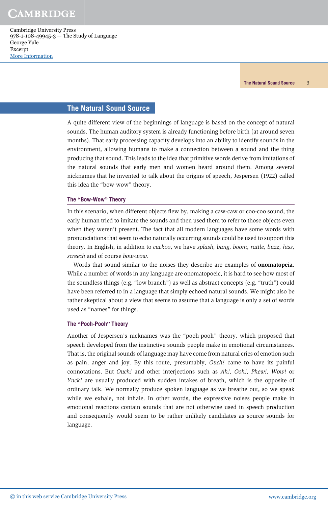## The Natural Sound Source

A quite different view of the beginnings of language is based on the concept of natural sounds. The human auditory system is already functioning before birth (at around seven months). That early processing capacity develops into an ability to identify sounds in the environment, allowing humans to make a connection between a sound and the thing producing that sound. This leads to the idea that primitive words derive from imitations of the natural sounds that early men and women heard around them. Among several nicknames that he invented to talk about the origins of speech, Jespersen (1922) called this idea the "bow-wow" theory.

#### The "Bow-Wow" Theory

In this scenario, when different objects flew by, making a caw-caw or coo-coo sound, the early human tried to imitate the sounds and then used them to refer to those objects even when they weren't present. The fact that all modern languages have some words with pronunciations that seem to echo naturally occurring sounds could be used to support this theory. In English, in addition to cuckoo, we have splash, bang, boom, rattle, buzz, hiss, screech and of course bow-wow.

Words that sound similar to the noises they describe are examples of **onomatopeia**. While a number of words in any language are onomatopoeic, it is hard to see how most of the soundless things (e.g. "low branch") as well as abstract concepts (e.g. "truth") could have been referred to in a language that simply echoed natural sounds. We might also be rather skeptical about a view that seems to assume that a language is only a set of words used as "names" for things.

#### The "Pooh-Pooh" Theory

Another of Jespersen's nicknames was the "pooh-pooh" theory, which proposed that speech developed from the instinctive sounds people make in emotional circumstances. That is, the original sounds of language may have come from natural cries of emotion such as pain, anger and joy. By this route, presumably, Ouch! came to have its painful connotations. But Ouch! and other interjections such as Ah!, Ooh!, Phew!, Wow! or Yuck! are usually produced with sudden intakes of breath, which is the opposite of ordinary talk. We normally produce spoken language as we breathe out, so we speak while we exhale, not inhale. In other words, the expressive noises people make in emotional reactions contain sounds that are not otherwise used in speech production and consequently would seem to be rather unlikely candidates as source sounds for language.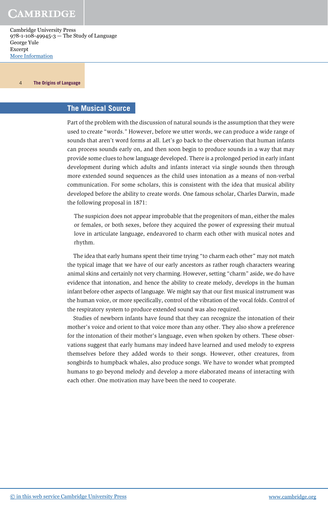Cambridge University Press 978-1-108-49945-3 — The Study of Language George Yule Excerpt [More Information](www.cambridge.org/9781108499453)

4 The Origins of Language

# The Musical Source

Part of the problem with the discussion of natural sounds is the assumption that they were used to create "words." However, before we utter words, we can produce a wide range of sounds that aren't word forms at all. Let's go back to the observation that human infants can process sounds early on, and then soon begin to produce sounds in a way that may provide some clues to how language developed. There is a prolonged period in early infant development during which adults and infants interact via single sounds then through more extended sound sequences as the child uses intonation as a means of non-verbal communication. For some scholars, this is consistent with the idea that musical ability developed before the ability to create words. One famous scholar, Charles Darwin, made the following proposal in 1871:

The suspicion does not appear improbable that the progenitors of man, either the males or females, or both sexes, before they acquired the power of expressing their mutual love in articulate language, endeavored to charm each other with musical notes and rhythm.

The idea that early humans spent their time trying "to charm each other" may not match the typical image that we have of our early ancestors as rather rough characters wearing animal skins and certainly not very charming. However, setting "charm" aside, we do have evidence that intonation, and hence the ability to create melody, develops in the human infant before other aspects of language. We might say that our first musical instrument was the human voice, or more specifically, control of the vibration of the vocal folds. Control of the respiratory system to produce extended sound was also required.

Studies of newborn infants have found that they can recognize the intonation of their mother's voice and orient to that voice more than any other. They also show a preference for the intonation of their mother's language, even when spoken by others. These observations suggest that early humans may indeed have learned and used melody to express themselves before they added words to their songs. However, other creatures, from songbirds to humpback whales, also produce songs. We have to wonder what prompted humans to go beyond melody and develop a more elaborated means of interacting with each other. One motivation may have been the need to cooperate.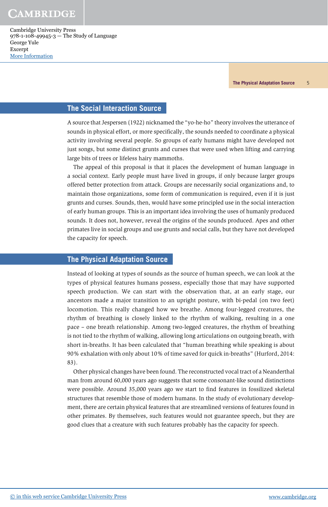# The Social Interaction Source

A source that Jespersen (1922) nicknamed the "yo-he-ho" theory involves the utterance of sounds in physical effort, or more specifically, the sounds needed to coordinate a physical activity involving several people. So groups of early humans might have developed not just songs, but some distinct grunts and curses that were used when lifting and carrying large bits of trees or lifeless hairy mammoths.

The appeal of this proposal is that it places the development of human language in a social context. Early people must have lived in groups, if only because larger groups offered better protection from attack. Groups are necessarily social organizations and, to maintain those organizations, some form of communication is required, even if it is just grunts and curses. Sounds, then, would have some principled use in the social interaction of early human groups. This is an important idea involving the uses of humanly produced sounds. It does not, however, reveal the origins of the sounds produced. Apes and other primates live in social groups and use grunts and social calls, but they have not developed the capacity for speech.

# The Physical Adaptation Source

Instead of looking at types of sounds as the source of human speech, we can look at the types of physical features humans possess, especially those that may have supported speech production. We can start with the observation that, at an early stage, our ancestors made a major transition to an upright posture, with bi-pedal (on two feet) locomotion. This really changed how we breathe. Among four-legged creatures, the rhythm of breathing is closely linked to the rhythm of walking, resulting in a one pace – one breath relationship. Among two-legged creatures, the rhythm of breathing is not tied to the rhythm of walking, allowing long articulations on outgoing breath, with short in-breaths. It has been calculated that "human breathing while speaking is about 90% exhalation with only about 10% of time saved for quick in-breaths" (Hurford, 2014: 83).

Other physical changes have been found. The reconstructed vocal tract of a Neanderthal man from around 60,000 years ago suggests that some consonant-like sound distinctions were possible. Around 35,000 years ago we start to find features in fossilized skeletal structures that resemble those of modern humans. In the study of evolutionary development, there are certain physical features that are streamlined versions of features found in other primates. By themselves, such features would not guarantee speech, but they are good clues that a creature with such features probably has the capacity for speech.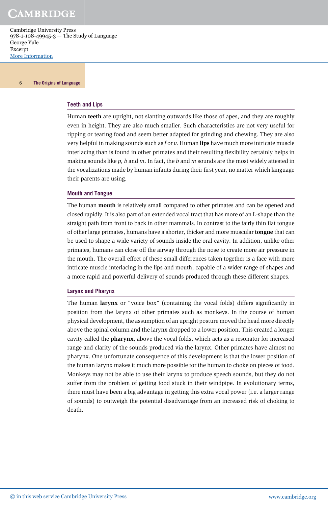Cambridge University Press 978-1-108-49945-3 — The Study of Language George Yule Excerpt [More Information](www.cambridge.org/9781108499453)

6 The Origins of Language

#### Teeth and Lips

Human teeth are upright, not slanting outwards like those of apes, and they are roughly even in height. They are also much smaller. Such characteristics are not very useful for ripping or tearing food and seem better adapted for grinding and chewing. They are also very helpful in making sounds such as f or  $\nu$ . Human lips have much more intricate muscle interlacing than is found in other primates and their resulting flexibility certainly helps in making sounds like  $p$ ,  $b$  and  $m$ . In fact, the  $b$  and  $m$  sounds are the most widely attested in the vocalizations made by human infants during their first year, no matter which language their parents are using.

#### Mouth and Tongue

The human mouth is relatively small compared to other primates and can be opened and closed rapidly. It is also part of an extended vocal tract that has more of an L-shape than the straight path from front to back in other mammals. In contrast to the fairly thin flat tongue of other large primates, humans have a shorter, thicker and more muscular tongue that can be used to shape a wide variety of sounds inside the oral cavity. In addition, unlike other primates, humans can close off the airway through the nose to create more air pressure in the mouth. The overall effect of these small differences taken together is a face with more intricate muscle interlacing in the lips and mouth, capable of a wider range of shapes and a more rapid and powerful delivery of sounds produced through these different shapes.

#### Larynx and Pharynx

The human larynx or "voice box" (containing the vocal folds) differs significantly in position from the larynx of other primates such as monkeys. In the course of human physical development, the assumption of an upright posture moved the head more directly above the spinal column and the larynx dropped to a lower position. This created a longer cavity called the pharynx, above the vocal folds, which acts as a resonator for increased range and clarity of the sounds produced via the larynx. Other primates have almost no pharynx. One unfortunate consequence of this development is that the lower position of the human larynx makes it much more possible for the human to choke on pieces of food. Monkeys may not be able to use their larynx to produce speech sounds, but they do not suffer from the problem of getting food stuck in their windpipe. In evolutionary terms, there must have been a big advantage in getting this extra vocal power (i.e. a larger range of sounds) to outweigh the potential disadvantage from an increased risk of choking to death.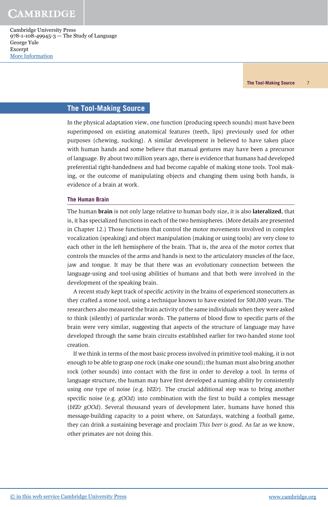# The Tool-Making Source

In the physical adaptation view, one function (producing speech sounds) must have been superimposed on existing anatomical features (teeth, lips) previously used for other purposes (chewing, sucking). A similar development is believed to have taken place with human hands and some believe that manual gestures may have been a precursor of language. By about two million years ago, there is evidence that humans had developed preferential right-handedness and had become capable of making stone tools. Tool making, or the outcome of manipulating objects and changing them using both hands, is evidence of a brain at work.

#### The Human Brain

The human **brain** is not only large relative to human body size, it is also **lateralized**, that is, it has specialized functions in each of the two hemispheres. (More details are presented in Chapter 12.) Those functions that control the motor movements involved in complex vocalization (speaking) and object manipulation (making or using tools) are very close to each other in the left hemisphere of the brain. That is, the area of the motor cortex that controls the muscles of the arms and hands is next to the articulatory muscles of the face, jaw and tongue. It may be that there was an evolutionary connection between the language-using and tool-using abilities of humans and that both were involved in the development of the speaking brain.

A recent study kept track of specific activity in the brains of experienced stonecutters as they crafted a stone tool, using a technique known to have existed for 500,000 years. The researchers also measured the brain activity of the same individuals when they were asked to think (silently) of particular words. The patterns of blood flow to specific parts of the brain were very similar, suggesting that aspects of the structure of language may have developed through the same brain circuits established earlier for two-handed stone tool creation.

If we think in terms of the most basic process involved in primitive tool-making, it is not enough to be able to grasp one rock (make one sound); the human must also bring another rock (other sounds) into contact with the first in order to develop a tool. In terms of language structure, the human may have first developed a naming ability by consistently using one type of noise (e.g.  $bE E r$ ). The crucial additional step was to bring another specific noise (e.g.  $gOOd$ ) into combination with the first to build a complex message (bEEr gOOd). Several thousand years of development later, humans have honed this message-building capacity to a point where, on Saturdays, watching a football game, they can drink a sustaining beverage and proclaim This beer is good. As far as we know, other primates are not doing this.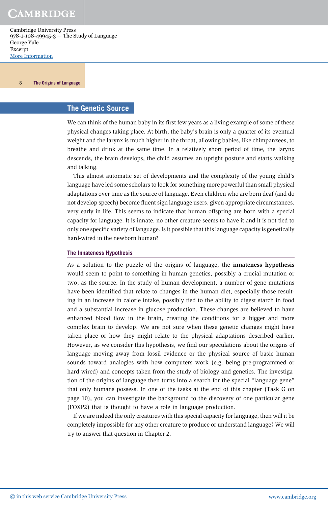Cambridge University Press 978-1-108-49945-3 — The Study of Language George Yule Excerpt [More Information](www.cambridge.org/9781108499453)

8 The Origins of Language

# **The Genetic Source**

We can think of the human baby in its first few years as a living example of some of these physical changes taking place. At birth, the baby's brain is only a quarter of its eventual weight and the larynx is much higher in the throat, allowing babies, like chimpanzees, to breathe and drink at the same time. In a relatively short period of time, the larynx descends, the brain develops, the child assumes an upright posture and starts walking and talking.

This almost automatic set of developments and the complexity of the young child's language have led some scholars to look for something more powerful than small physical adaptations over time as the source of language. Even children who are born deaf (and do not develop speech) become fluent sign language users, given appropriate circumstances, very early in life. This seems to indicate that human offspring are born with a special capacity for language. It is innate, no other creature seems to have it and it is not tied to only one specific variety of language. Is it possible that this language capacity is genetically hard-wired in the newborn human?

#### The Innateness Hypothesis

As a solution to the puzzle of the origins of language, the innateness hypothesis would seem to point to something in human genetics, possibly a crucial mutation or two, as the source. In the study of human development, a number of gene mutations have been identified that relate to changes in the human diet, especially those resulting in an increase in calorie intake, possibly tied to the ability to digest starch in food and a substantial increase in glucose production. These changes are believed to have enhanced blood flow in the brain, creating the conditions for a bigger and more complex brain to develop. We are not sure when these genetic changes might have taken place or how they might relate to the physical adaptations described earlier. However, as we consider this hypothesis, we find our speculations about the origins of language moving away from fossil evidence or the physical source of basic human sounds toward analogies with how computers work (e.g. being pre-programmed or hard-wired) and concepts taken from the study of biology and genetics. The investigation of the origins of language then turns into a search for the special "language gene" that only humans possess. In one of the tasks at the end of this chapter (Task G on page 10), you can investigate the background to the discovery of one particular gene (FOXP2) that is thought to have a role in language production.

If we are indeed the only creatures with this special capacity for language, then will it be completely impossible for any other creature to produce or understand language? We will try to answer that question in Chapter 2.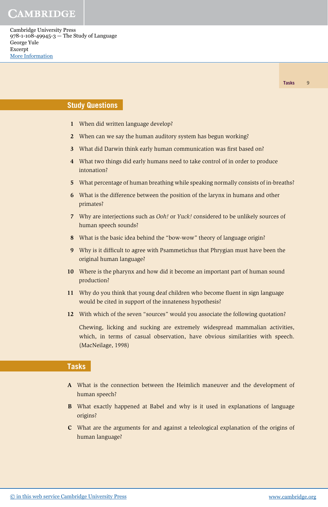Tasks 9

# Study Questions

- 1 When did written language develop?
- 2 When can we say the human auditory system has begun working?
- 3 What did Darwin think early human communication was first based on?
- 4 What two things did early humans need to take control of in order to produce intonation?
- 5 What percentage of human breathing while speaking normally consists of in-breaths?
- 6 What is the difference between the position of the larynx in humans and other primates?
- 7 Why are interjections such as *Ooh!* or *Yuck!* considered to be unlikely sources of human speech sounds?
- 8 What is the basic idea behind the "bow-wow" theory of language origin?
- 9 Why is it difficult to agree with Psammetichus that Phrygian must have been the original human language?
- 10 Where is the pharynx and how did it become an important part of human sound production?
- 11 Why do you think that young deaf children who become fluent in sign language would be cited in support of the innateness hypothesis?
- 12 With which of the seven "sources" would you associate the following quotation?

Chewing, licking and sucking are extremely widespread mammalian activities, which, in terms of casual observation, have obvious similarities with speech. (MacNeilage, 1998)

## **Tasks**

- A What is the connection between the Heimlich maneuver and the development of human speech?
- B What exactly happened at Babel and why is it used in explanations of language origins?
- C What are the arguments for and against a teleological explanation of the origins of human language?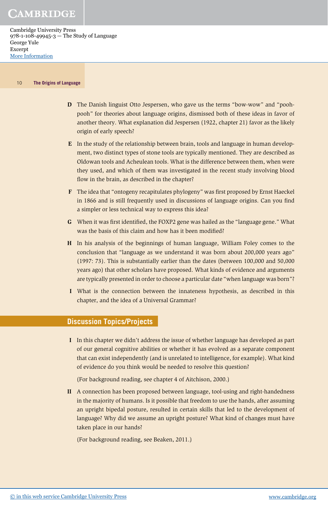#### 10 The Origins of Language

- D The Danish linguist Otto Jespersen, who gave us the terms "bow-wow" and "poohpooh" for theories about language origins, dismissed both of these ideas in favor of another theory. What explanation did Jespersen (1922, chapter 21) favor as the likely origin of early speech?
- E In the study of the relationship between brain, tools and language in human development, two distinct types of stone tools are typically mentioned. They are described as Oldowan tools and Acheulean tools. What is the difference between them, when were they used, and which of them was investigated in the recent study involving blood flow in the brain, as described in the chapter?
- F The idea that "ontogeny recapitulates phylogeny" was first proposed by Ernst Haeckel in 1866 and is still frequently used in discussions of language origins. Can you find a simpler or less technical way to express this idea?
- G When it was first identified, the FOXP2 gene was hailed as the "language gene." What was the basis of this claim and how has it been modified?
- H In his analysis of the beginnings of human language, William Foley comes to the conclusion that "language as we understand it was born about 200,000 years ago" (1997: 73). This is substantially earlier than the dates (between 100,000 and 50,000 years ago) that other scholars have proposed. What kinds of evidence and arguments are typically presented in order to choose a particular date "when language was born"?
- I What is the connection between the innateness hypothesis, as described in this chapter, and the idea of a Universal Grammar?

# Discussion Topics/Projects

I In this chapter we didn't address the issue of whether language has developed as part of our general cognitive abilities or whether it has evolved as a separate component that can exist independently (and is unrelated to intelligence, for example). What kind of evidence do you think would be needed to resolve this question?

(For background reading, see chapter 4 of Aitchison, 2000.)

II A connection has been proposed between language, tool-using and right-handedness in the majority of humans. Is it possible that freedom to use the hands, after assuming an upright bipedal posture, resulted in certain skills that led to the development of language? Why did we assume an upright posture? What kind of changes must have taken place in our hands?

(For background reading, see Beaken, 2011.)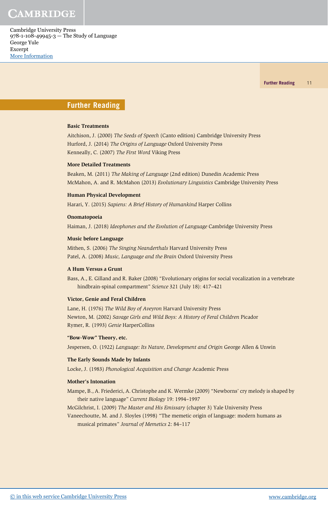Further Reading 11

# Further Reading

#### Basic Treatments

Aitchison, J. (2000) The Seeds of Speech (Canto edition) Cambridge University Press Hurford, J. (2014) The Origins of Language Oxford University Press Kenneally, C. (2007) The First Word Viking Press

#### More Detailed Treatments

Beaken, M. (2011) The Making of Language (2nd edition) Dunedin Academic Press McMahon, A. and R. McMahon (2013) Evolutionary Linguistics Cambridge University Press

#### Human Physical Development

Harari, Y. (2015) Sapiens: A Brief History of Humankind Harper Collins

#### Onomatopoeia

Haiman, J. (2018) Ideophones and the Evolution of Language Cambridge University Press

#### Music before Language

Mithen, S. (2006) The Singing Neanderthals Harvard University Press Patel, A. (2008) Music, Language and the Brain Oxford University Press

#### A Hum Versus a Grunt

Bass, A., E. Gilland and R. Baker (2008) "Evolutionary origins for social vocalization in a vertebrate hindbrain-spinal compartment" Science 321 (July 18): 417–421

#### Victor, Genie and Feral Children

Lane, H. (1976) The Wild Boy of Aveyron Harvard University Press Newton, M. (2002) Savage Girls and Wild Boys: A History of Feral Children Picador Rymer, R. (1993) Genie HarperCollins

#### "Bow-Wow" Theory, etc.

Jespersen, O. (1922) Language: Its Nature, Development and Origin George Allen & Unwin

#### The Early Sounds Made by Infants

Locke, J. (1983) Phonological Acquisition and Change Academic Press

#### Mother's Intonation

Mampe, B., A. Friederici, A. Christophe and K. Wermke (2009) "Newborns' cry melody is shaped by their native language" Current Biology 19: 1994–1997

McGilchrist, I. (2009) The Master and His Emissary (chapter 3) Yale University Press

Vaneechoutte, M. and J. Sloyles (1998) "The memetic origin of language: modern humans as musical primates" Journal of Memetics 2: 84–117